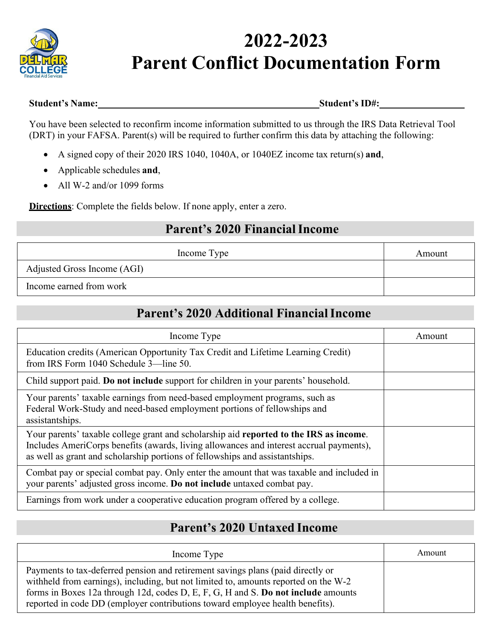

# **2022-2023 Parent Conflict Documentation Form**

#### **Student's Name: Student's ID#:**

You have been selected to reconfirm income information submitted to us through the IRS Data Retrieval Tool (DRT) in your FAFSA. Parent(s) will be required to further confirm this data by attaching the following:

- A signed copy of their 2020 IRS 1040, 1040A, or 1040EZ income tax return(s) **and**,
- Applicable schedules **and**,
- All W-2 and/or 1099 forms

**Directions**: Complete the fields below. If none apply, enter a zero.

#### **Parent's 2020 Financial Income**

| Income Type                 | Amount |
|-----------------------------|--------|
| Adjusted Gross Income (AGI) |        |
| Income earned from work     |        |

### **Parent's 2020 Additional Financial Income**

| Income Type                                                                                                                                                                                                                                                       | Amount |
|-------------------------------------------------------------------------------------------------------------------------------------------------------------------------------------------------------------------------------------------------------------------|--------|
| Education credits (American Opportunity Tax Credit and Lifetime Learning Credit)<br>from IRS Form 1040 Schedule 3—line 50.                                                                                                                                        |        |
| Child support paid. Do not include support for children in your parents' household.                                                                                                                                                                               |        |
| Your parents' taxable earnings from need-based employment programs, such as<br>Federal Work-Study and need-based employment portions of fellowships and<br>assistantships.                                                                                        |        |
| Your parents' taxable college grant and scholarship aid reported to the IRS as income.<br>Includes AmeriCorps benefits (awards, living allowances and interest accrual payments),<br>as well as grant and scholarship portions of fellowships and assistantships. |        |
| Combat pay or special combat pay. Only enter the amount that was taxable and included in<br>your parents' adjusted gross income. Do not include untaxed combat pay.                                                                                               |        |
| Earnings from work under a cooperative education program offered by a college.                                                                                                                                                                                    |        |

## **Parent's 2020 Untaxed Income**

| Income Type                                                                                                                                                                                                                                                                                                                                  | Amount |
|----------------------------------------------------------------------------------------------------------------------------------------------------------------------------------------------------------------------------------------------------------------------------------------------------------------------------------------------|--------|
| Payments to tax-deferred pension and retirement savings plans (paid directly or<br>withheld from earnings), including, but not limited to, amounts reported on the W-2<br>forms in Boxes 12a through 12d, codes D, E, F, G, H and S. Do not include amounts<br>reported in code DD (employer contributions toward employee health benefits). |        |